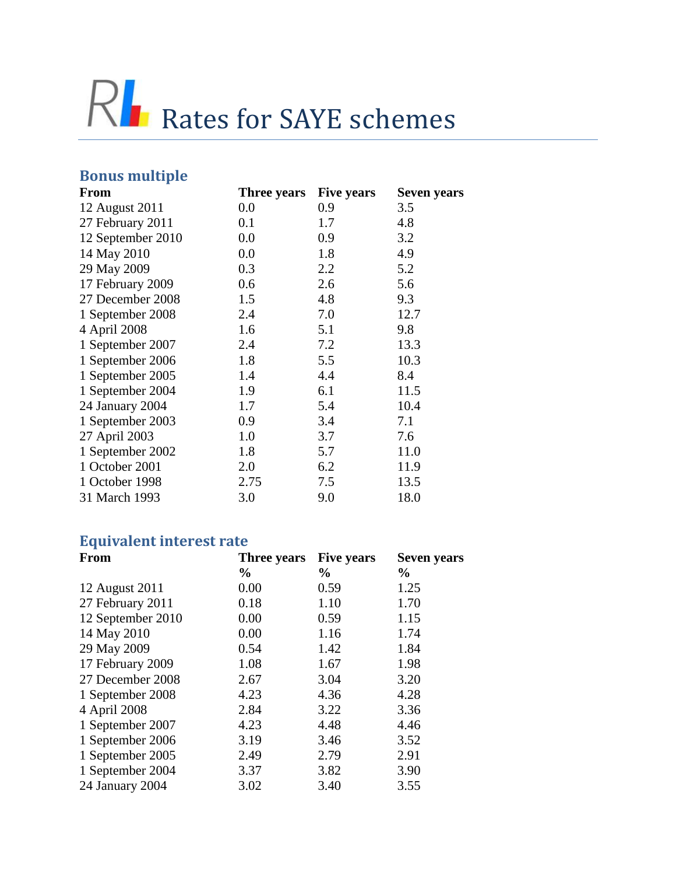

## **Bonus multiple**

| <b>From</b>       | <b>Three years</b> | <b>Five years</b> | <b>Seven years</b> |
|-------------------|--------------------|-------------------|--------------------|
| 12 August 2011    | 0.0                | 0.9               | 3.5                |
| 27 February 2011  | 0.1                | 1.7               | 4.8                |
| 12 September 2010 | 0.0                | 0.9               | 3.2                |
| 14 May 2010       | 0.0                | 1.8               | 4.9                |
| 29 May 2009       | 0.3                | 2.2               | 5.2                |
| 17 February 2009  | 0.6                | 2.6               | 5.6                |
| 27 December 2008  | 1.5                | 4.8               | 9.3                |
| 1 September 2008  | 2.4                | 7.0               | 12.7               |
| 4 April 2008      | 1.6                | 5.1               | 9.8                |
| 1 September 2007  | 2.4                | 7.2               | 13.3               |
| 1 September 2006  | 1.8                | 5.5               | 10.3               |
| 1 September 2005  | 1.4                | 4.4               | 8.4                |
| 1 September 2004  | 1.9                | 6.1               | 11.5               |
| 24 January 2004   | 1.7                | 5.4               | 10.4               |
| 1 September 2003  | 0.9                | 3.4               | 7.1                |
| 27 April 2003     | 1.0                | 3.7               | 7.6                |
| 1 September 2002  | 1.8                | 5.7               | 11.0               |
| 1 October 2001    | 2.0                | 6.2               | 11.9               |
| 1 October 1998    | 2.75               | 7.5               | 13.5               |
| 31 March 1993     | 3.0                | 9.0               | 18.0               |
|                   |                    |                   |                    |

## **Equivalent interest rate**

| <b>From</b>       | <b>Three years</b> | <b>Five years</b> | Seven years   |
|-------------------|--------------------|-------------------|---------------|
|                   | $\frac{6}{9}$      | $\frac{6}{9}$     | $\frac{6}{9}$ |
| 12 August 2011    | 0.00               | 0.59              | 1.25          |
| 27 February 2011  | 0.18               | 1.10              | 1.70          |
| 12 September 2010 | 0.00               | 0.59              | 1.15          |
| 14 May 2010       | 0.00               | 1.16              | 1.74          |
| 29 May 2009       | 0.54               | 1.42              | 1.84          |
| 17 February 2009  | 1.08               | 1.67              | 1.98          |
| 27 December 2008  | 2.67               | 3.04              | 3.20          |
| 1 September 2008  | 4.23               | 4.36              | 4.28          |
| 4 April 2008      | 2.84               | 3.22              | 3.36          |
| 1 September 2007  | 4.23               | 4.48              | 4.46          |
| 1 September 2006  | 3.19               | 3.46              | 3.52          |
| 1 September 2005  | 2.49               | 2.79              | 2.91          |
| 1 September 2004  | 3.37               | 3.82              | 3.90          |
| 24 January 2004   | 3.02               | 3.40              | 3.55          |